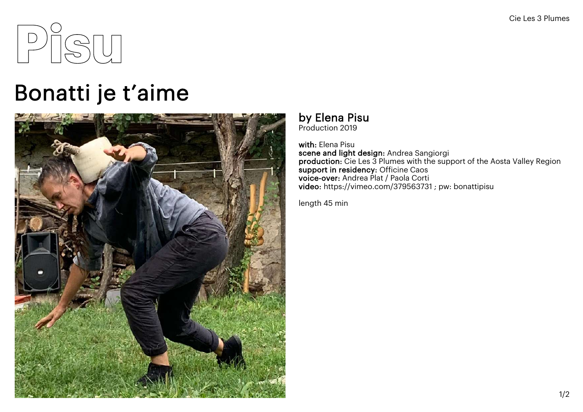

## Bonatti je t'aime



## by Elena Pisu<br>Production 2019

with: Elena Pisu scene and light design: Andrea Sangiorgi production: Cie Les 3 Plumes with the support of the Aosta Valley Region support in residency: Officine Caos voice-over: Andrea Plat / Paola Corti video: https://vimeo.com/379563731 ; pw: bonattipisu

length 45 min